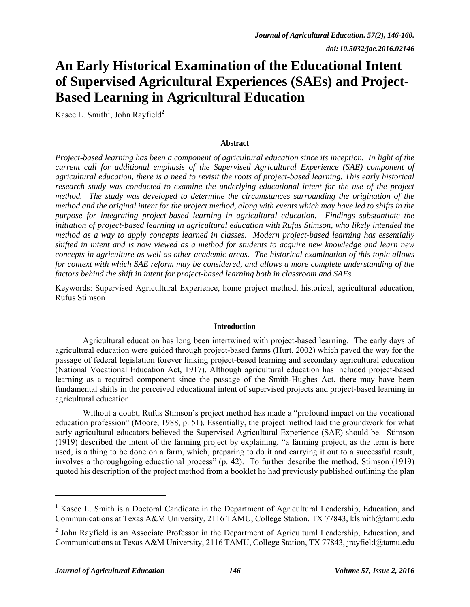# **An Early Historical Examination of the Educational Intent of Supervised Agricultural Experiences (SAEs) and Project-Based Learning in Agricultural Education**

Kasee L. Smith<sup>1</sup>, John Rayfield<sup>2</sup>

#### **Abstract**

*Project-based learning has been a component of agricultural education since its inception. In light of the current call for additional emphasis of the Supervised Agricultural Experience (SAE) component of agricultural education, there is a need to revisit the roots of project-based learning. This early historical research study was conducted to examine the underlying educational intent for the use of the project method. The study was developed to determine the circumstances surrounding the origination of the method and the original intent for the project method, along with events which may have led to shifts in the purpose for integrating project-based learning in agricultural education. Findings substantiate the initiation of project-based learning in agricultural education with Rufus Stimson, who likely intended the method as a way to apply concepts learned in classes. Modern project-based learning has essentially shifted in intent and is now viewed as a method for students to acquire new knowledge and learn new concepts in agriculture as well as other academic areas. The historical examination of this topic allows for context with which SAE reform may be considered, and allows a more complete understanding of the factors behind the shift in intent for project-based learning both in classroom and SAEs.* 

Keywords: Supervised Agricultural Experience, home project method, historical, agricultural education, Rufus Stimson

#### **Introduction**

Agricultural education has long been intertwined with project-based learning. The early days of agricultural education were guided through project-based farms (Hurt, 2002) which paved the way for the passage of federal legislation forever linking project-based learning and secondary agricultural education (National Vocational Education Act, 1917). Although agricultural education has included project-based learning as a required component since the passage of the Smith-Hughes Act, there may have been fundamental shifts in the perceived educational intent of supervised projects and project-based learning in agricultural education.

Without a doubt, Rufus Stimson's project method has made a "profound impact on the vocational education profession" (Moore, 1988, p. 51). Essentially, the project method laid the groundwork for what early agricultural educators believed the Supervised Agricultural Experience (SAE) should be. Stimson (1919) described the intent of the farming project by explaining, "a farming project, as the term is here used, is a thing to be done on a farm, which, preparing to do it and carrying it out to a successful result, involves a thoroughgoing educational process" (p. 42). To further describe the method, Stimson (1919) quoted his description of the project method from a booklet he had previously published outlining the plan

l

<sup>&</sup>lt;sup>1</sup> Kasee L. Smith is a Doctoral Candidate in the Department of Agricultural Leadership, Education, and Communications at Texas A&M University, 2116 TAMU, College Station, TX 77843, klsmith@tamu.edu

<sup>&</sup>lt;sup>2</sup> John Rayfield is an Associate Professor in the Department of Agricultural Leadership, Education, and Communications at Texas A&M University, 2116 TAMU, College Station, TX 77843, jrayfield@tamu.edu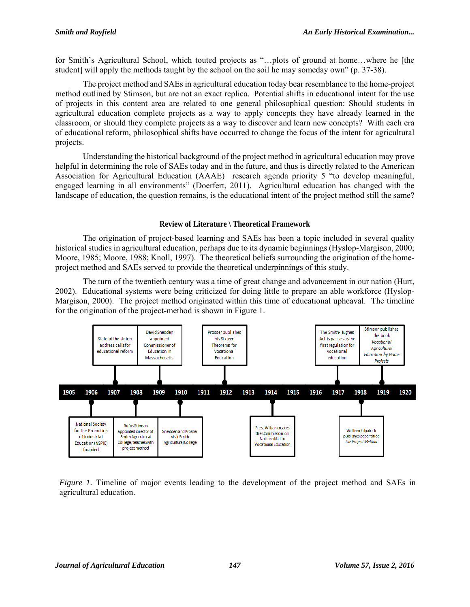for Smith's Agricultural School, which touted projects as "...plots of ground at home...where he [the student] will apply the methods taught by the school on the soil he may someday own" (p. 37-38).

The project method and SAEs in agricultural education today bear resemblance to the home-project method outlined by Stimson, but are not an exact replica. Potential shifts in educational intent for the use of projects in this content area are related to one general philosophical question: Should students in agricultural education complete projects as a way to apply concepts they have already learned in the classroom, or should they complete projects as a way to discover and learn new concepts? With each era of educational reform, philosophical shifts have occurred to change the focus of the intent for agricultural projects.

Understanding the historical background of the project method in agricultural education may prove helpful in determining the role of SAEs today and in the future, and thus is directly related to the American Association for Agricultural Education (AAAE) research agenda priority 5 "to develop meaningful, engaged learning in all environments" (Doerfert, 2011). Agricultural education has changed with the landscape of education, the question remains, is the educational intent of the project method still the same?

## **Review of Literature \ Theoretical Framework**

The origination of project-based learning and SAEs has been a topic included in several quality historical studies in agricultural education, perhaps due to its dynamic beginnings (Hyslop-Margison, 2000; Moore, 1985; Moore, 1988; Knoll, 1997). The theoretical beliefs surrounding the origination of the homeproject method and SAEs served to provide the theoretical underpinnings of this study.

The turn of the twentieth century was a time of great change and advancement in our nation (Hurt, 2002). Educational systems were being criticized for doing little to prepare an able workforce (Hyslop-Margison, 2000). The project method originated within this time of educational upheaval. The timeline for the origination of the project-method is shown in Figure 1.



*Figure 1.* Timeline of major events leading to the development of the project method and SAEs in agricultural education.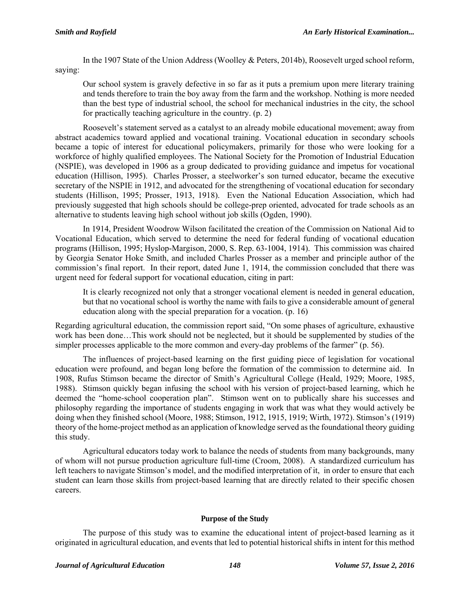In the 1907 State of the Union Address (Woolley & Peters, 2014b), Roosevelt urged school reform, saying:

Our school system is gravely defective in so far as it puts a premium upon mere literary training and tends therefore to train the boy away from the farm and the workshop. Nothing is more needed than the best type of industrial school, the school for mechanical industries in the city, the school for practically teaching agriculture in the country. (p. 2)

Roosevelt's statement served as a catalyst to an already mobile educational movement; away from abstract academics toward applied and vocational training. Vocational education in secondary schools became a topic of interest for educational policymakers, primarily for those who were looking for a workforce of highly qualified employees. The National Society for the Promotion of Industrial Education (NSPIE), was developed in 1906 as a group dedicated to providing guidance and impetus for vocational education (Hillison, 1995). Charles Prosser, a steelworker's son turned educator, became the executive secretary of the NSPIE in 1912, and advocated for the strengthening of vocational education for secondary students (Hillison, 1995; Prosser, 1913, 1918). Even the National Education Association, which had previously suggested that high schools should be college-prep oriented, advocated for trade schools as an alternative to students leaving high school without job skills (Ogden, 1990).

In 1914, President Woodrow Wilson facilitated the creation of the Commission on National Aid to Vocational Education, which served to determine the need for federal funding of vocational education programs (Hillison, 1995; Hyslop-Margison, 2000, S. Rep. 63-1004, 1914). This commission was chaired by Georgia Senator Hoke Smith, and included Charles Prosser as a member and principle author of the commission's final report. In their report, dated June 1, 1914, the commission concluded that there was urgent need for federal support for vocational education, citing in part:

It is clearly recognized not only that a stronger vocational element is needed in general education, but that no vocational school is worthy the name with fails to give a considerable amount of general education along with the special preparation for a vocation. (p. 16)

Regarding agricultural education, the commission report said, "On some phases of agriculture, exhaustive work has been done…This work should not be neglected, but it should be supplemented by studies of the simpler processes applicable to the more common and every-day problems of the farmer" (p. 56).

The influences of project-based learning on the first guiding piece of legislation for vocational education were profound, and began long before the formation of the commission to determine aid. In 1908, Rufus Stimson became the director of Smith's Agricultural College (Heald, 1929; Moore, 1985, 1988). Stimson quickly began infusing the school with his version of project-based learning, which he deemed the "home-school cooperation plan". Stimson went on to publically share his successes and philosophy regarding the importance of students engaging in work that was what they would actively be doing when they finished school (Moore, 1988; Stimson, 1912, 1915, 1919; Wirth, 1972). Stimson's (1919) theory of the home-project method as an application of knowledge served as the foundational theory guiding this study.

Agricultural educators today work to balance the needs of students from many backgrounds, many of whom will not pursue production agriculture full-time (Croom, 2008). A standardized curriculum has left teachers to navigate Stimson's model, and the modified interpretation of it, in order to ensure that each student can learn those skills from project-based learning that are directly related to their specific chosen careers.

# **Purpose of the Study**

The purpose of this study was to examine the educational intent of project-based learning as it originated in agricultural education, and events that led to potential historical shifts in intent for this method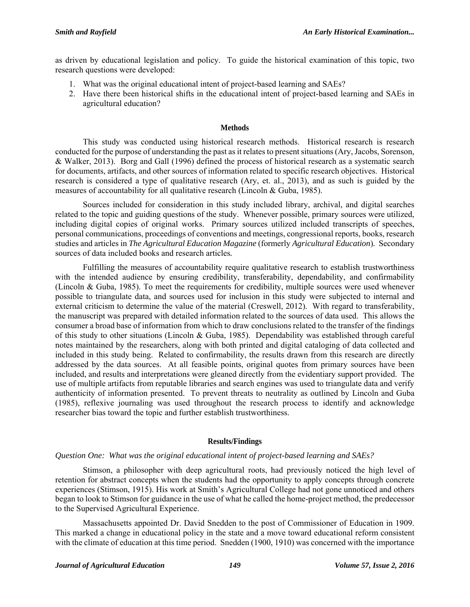as driven by educational legislation and policy. To guide the historical examination of this topic, two research questions were developed:

- 1. What was the original educational intent of project-based learning and SAEs?
- 2. Have there been historical shifts in the educational intent of project-based learning and SAEs in agricultural education?

### **Methods**

This study was conducted using historical research methods. Historical research is research conducted for the purpose of understanding the past as it relates to present situations (Ary, Jacobs, Sorenson, & Walker, 2013). Borg and Gall (1996) defined the process of historical research as a systematic search for documents, artifacts, and other sources of information related to specific research objectives. Historical research is considered a type of qualitative research (Ary, et. al., 2013), and as such is guided by the measures of accountability for all qualitative research (Lincoln & Guba, 1985).

Sources included for consideration in this study included library, archival, and digital searches related to the topic and guiding questions of the study. Whenever possible, primary sources were utilized, including digital copies of original works. Primary sources utilized included transcripts of speeches, personal communications, proceedings of conventions and meetings, congressional reports, books, research studies and articles in *The Agricultural Education Magazine* (formerly *Agricultural Education*)*.* Secondary sources of data included books and research articles*.*

Fulfilling the measures of accountability require qualitative research to establish trustworthiness with the intended audience by ensuring credibility, transferability, dependability, and confirmability (Lincoln & Guba, 1985). To meet the requirements for credibility, multiple sources were used whenever possible to triangulate data, and sources used for inclusion in this study were subjected to internal and external criticism to determine the value of the material (Creswell, 2012). With regard to transferability, the manuscript was prepared with detailed information related to the sources of data used. This allows the consumer a broad base of information from which to draw conclusions related to the transfer of the findings of this study to other situations (Lincoln & Guba, 1985). Dependability was established through careful notes maintained by the researchers, along with both printed and digital cataloging of data collected and included in this study being. Related to confirmability, the results drawn from this research are directly addressed by the data sources. At all feasible points, original quotes from primary sources have been included, and results and interpretations were gleaned directly from the evidentiary support provided. The use of multiple artifacts from reputable libraries and search engines was used to triangulate data and verify authenticity of information presented. To prevent threats to neutrality as outlined by Lincoln and Guba (1985), reflexive journaling was used throughout the research process to identify and acknowledge researcher bias toward the topic and further establish trustworthiness.

# **Results/Findings**

# *Question One: What was the original educational intent of project-based learning and SAEs?*

Stimson, a philosopher with deep agricultural roots, had previously noticed the high level of retention for abstract concepts when the students had the opportunity to apply concepts through concrete experiences (Stimson, 1915). His work at Smith's Agricultural College had not gone unnoticed and others began to look to Stimson for guidance in the use of what he called the home-project method, the predecessor to the Supervised Agricultural Experience.

Massachusetts appointed Dr. David Snedden to the post of Commissioner of Education in 1909. This marked a change in educational policy in the state and a move toward educational reform consistent with the climate of education at this time period. Snedden (1900, 1910) was concerned with the importance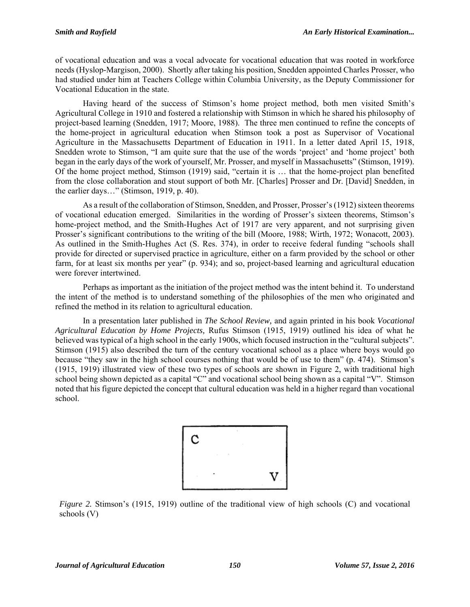of vocational education and was a vocal advocate for vocational education that was rooted in workforce needs (Hyslop-Margison, 2000). Shortly after taking his position, Snedden appointed Charles Prosser, who had studied under him at Teachers College within Columbia University, as the Deputy Commissioner for Vocational Education in the state.

Having heard of the success of Stimson's home project method, both men visited Smith's Agricultural College in 1910 and fostered a relationship with Stimson in which he shared his philosophy of project-based learning (Snedden, 1917; Moore, 1988). The three men continued to refine the concepts of the home-project in agricultural education when Stimson took a post as Supervisor of Vocational Agriculture in the Massachusetts Department of Education in 1911. In a letter dated April 15, 1918, Snedden wrote to Stimson, "I am quite sure that the use of the words 'project' and 'home project' both began in the early days of the work of yourself, Mr. Prosser, and myself in Massachusetts" (Stimson, 1919). Of the home project method, Stimson (1919) said, "certain it is … that the home-project plan benefited from the close collaboration and stout support of both Mr. [Charles] Prosser and Dr. [David] Snedden, in the earlier days…" (Stimson, 1919, p. 40).

As a result of the collaboration of Stimson, Snedden, and Prosser, Prosser's (1912) sixteen theorems of vocational education emerged. Similarities in the wording of Prosser's sixteen theorems, Stimson's home-project method, and the Smith-Hughes Act of 1917 are very apparent, and not surprising given Prosser's significant contributions to the writing of the bill (Moore, 1988; Wirth, 1972; Wonacott, 2003). As outlined in the Smith-Hughes Act (S. Res. 374), in order to receive federal funding "schools shall provide for directed or supervised practice in agriculture, either on a farm provided by the school or other farm, for at least six months per year" (p. 934); and so, project-based learning and agricultural education were forever intertwined.

Perhaps as important as the initiation of the project method was the intent behind it. To understand the intent of the method is to understand something of the philosophies of the men who originated and refined the method in its relation to agricultural education.

In a presentation later published in *The School Review,* and again printed in his book *Vocational Agricultural Education by Home Projects,* Rufus Stimson (1915, 1919) outlined his idea of what he believed was typical of a high school in the early 1900s, which focused instruction in the "cultural subjects". Stimson (1915) also described the turn of the century vocational school as a place where boys would go because "they saw in the high school courses nothing that would be of use to them" (p. 474). Stimson's (1915, 1919) illustrated view of these two types of schools are shown in Figure 2, with traditional high school being shown depicted as a capital "C" and vocational school being shown as a capital "V". Stimson noted that his figure depicted the concept that cultural education was held in a higher regard than vocational school.



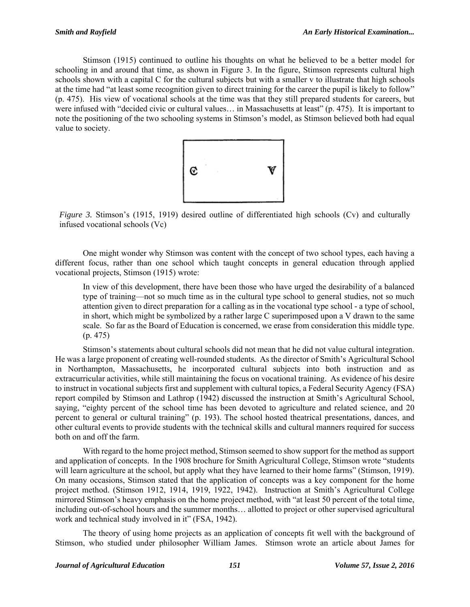Stimson (1915) continued to outline his thoughts on what he believed to be a better model for schooling in and around that time, as shown in Figure 3. In the figure, Stimson represents cultural high schools shown with a capital C for the cultural subjects but with a smaller v to illustrate that high schools at the time had "at least some recognition given to direct training for the career the pupil is likely to follow" (p. 475). His view of vocational schools at the time was that they still prepared students for careers, but were infused with "decided civic or cultural values… in Massachusetts at least" (p. 475). It is important to note the positioning of the two schooling systems in Stimson's model, as Stimson believed both had equal value to society.



*Figure 3.* Stimson's (1915, 1919) desired outline of differentiated high schools (Cv) and culturally infused vocational schools (Vc)

 One might wonder why Stimson was content with the concept of two school types, each having a different focus, rather than one school which taught concepts in general education through applied vocational projects, Stimson (1915) wrote:

In view of this development, there have been those who have urged the desirability of a balanced type of training—not so much time as in the cultural type school to general studies, not so much attention given to direct preparation for a calling as in the vocational type school - a type of school, in short, which might be symbolized by a rather large C superimposed upon a V drawn to the same scale. So far as the Board of Education is concerned, we erase from consideration this middle type. (p. 475)

Stimson's statements about cultural schools did not mean that he did not value cultural integration. He was a large proponent of creating well-rounded students. As the director of Smith's Agricultural School in Northampton, Massachusetts, he incorporated cultural subjects into both instruction and as extracurricular activities, while still maintaining the focus on vocational training. As evidence of his desire to instruct in vocational subjects first and supplement with cultural topics, a Federal Security Agency (FSA) report compiled by Stimson and Lathrop (1942) discussed the instruction at Smith's Agricultural School, saying, "eighty percent of the school time has been devoted to agriculture and related science, and 20 percent to general or cultural training" (p. 193). The school hosted theatrical presentations, dances, and other cultural events to provide students with the technical skills and cultural manners required for success both on and off the farm.

With regard to the home project method, Stimson seemed to show support for the method as support and application of concepts. In the 1908 brochure for Smith Agricultural College, Stimson wrote "students will learn agriculture at the school, but apply what they have learned to their home farms" (Stimson, 1919). On many occasions, Stimson stated that the application of concepts was a key component for the home project method. (Stimson 1912, 1914, 1919, 1922, 1942). Instruction at Smith's Agricultural College mirrored Stimson's heavy emphasis on the home project method, with "at least 50 percent of the total time, including out-of-school hours and the summer months… allotted to project or other supervised agricultural work and technical study involved in it" (FSA, 1942).

The theory of using home projects as an application of concepts fit well with the background of Stimson, who studied under philosopher William James. Stimson wrote an article about James for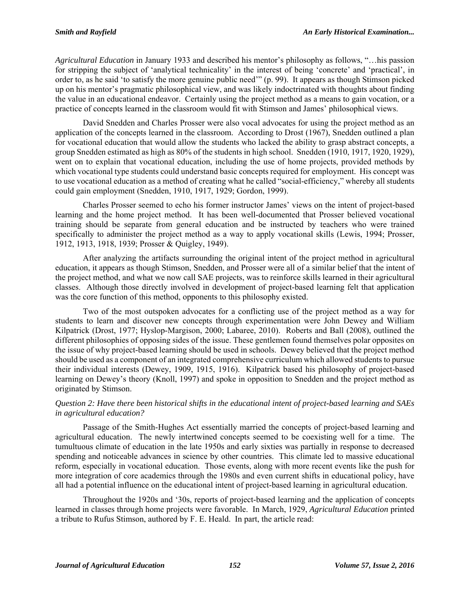*Agricultural Education* in January 1933 and described his mentor's philosophy as follows, "…his passion for stripping the subject of 'analytical technicality' in the interest of being 'concrete' and 'practical', in order to, as he said 'to satisfy the more genuine public need'" (p. 99). It appears as though Stimson picked up on his mentor's pragmatic philosophical view, and was likely indoctrinated with thoughts about finding the value in an educational endeavor. Certainly using the project method as a means to gain vocation, or a practice of concepts learned in the classroom would fit with Stimson and James' philosophical views.

 David Snedden and Charles Prosser were also vocal advocates for using the project method as an application of the concepts learned in the classroom. According to Drost (1967), Snedden outlined a plan for vocational education that would allow the students who lacked the ability to grasp abstract concepts, a group Snedden estimated as high as 80% of the students in high school. Snedden (1910, 1917, 1920, 1929), went on to explain that vocational education, including the use of home projects, provided methods by which vocational type students could understand basic concepts required for employment. His concept was to use vocational education as a method of creating what he called "social-efficiency," whereby all students could gain employment (Snedden, 1910, 1917, 1929; Gordon, 1999).

 Charles Prosser seemed to echo his former instructor James' views on the intent of project-based learning and the home project method. It has been well-documented that Prosser believed vocational training should be separate from general education and be instructed by teachers who were trained specifically to administer the project method as a way to apply vocational skills (Lewis, 1994; Prosser, 1912, 1913, 1918, 1939; Prosser & Quigley, 1949).

 After analyzing the artifacts surrounding the original intent of the project method in agricultural education, it appears as though Stimson, Snedden, and Prosser were all of a similar belief that the intent of the project method, and what we now call SAE projects, was to reinforce skills learned in their agricultural classes. Although those directly involved in development of project-based learning felt that application was the core function of this method, opponents to this philosophy existed.

 Two of the most outspoken advocates for a conflicting use of the project method as a way for students to learn and discover new concepts through experimentation were John Dewey and William Kilpatrick (Drost, 1977; Hyslop-Margison, 2000; Labaree, 2010). Roberts and Ball (2008), outlined the different philosophies of opposing sides of the issue. These gentlemen found themselves polar opposites on the issue of why project-based learning should be used in schools. Dewey believed that the project method should be used as a component of an integrated comprehensive curriculum which allowed students to pursue their individual interests (Dewey, 1909, 1915, 1916). Kilpatrick based his philosophy of project-based learning on Dewey's theory (Knoll, 1997) and spoke in opposition to Snedden and the project method as originated by Stimson.

# *Question 2: Have there been historical shifts in the educational intent of project-based learning and SAEs in agricultural education?*

 Passage of the Smith-Hughes Act essentially married the concepts of project-based learning and agricultural education. The newly intertwined concepts seemed to be coexisting well for a time. The tumultuous climate of education in the late 1950s and early sixties was partially in response to decreased spending and noticeable advances in science by other countries. This climate led to massive educational reform, especially in vocational education. Those events, along with more recent events like the push for more integration of core academics through the 1980s and even current shifts in educational policy, have all had a potential influence on the educational intent of project-based learning in agricultural education.

 Throughout the 1920s and '30s, reports of project-based learning and the application of concepts learned in classes through home projects were favorable. In March, 1929, *Agricultural Education* printed a tribute to Rufus Stimson, authored by F. E. Heald. In part, the article read: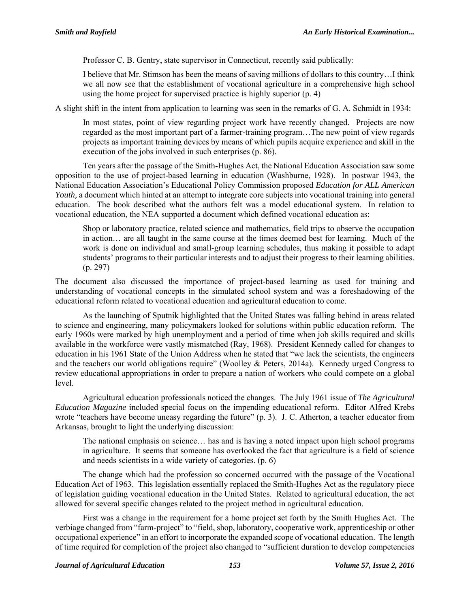Professor C. B. Gentry, state supervisor in Connecticut, recently said publically:

I believe that Mr. Stimson has been the means of saving millions of dollars to this country…I think we all now see that the establishment of vocational agriculture in a comprehensive high school using the home project for supervised practice is highly superior (p. 4)

A slight shift in the intent from application to learning was seen in the remarks of G. A. Schmidt in 1934:

In most states, point of view regarding project work have recently changed. Projects are now regarded as the most important part of a farmer-training program…The new point of view regards projects as important training devices by means of which pupils acquire experience and skill in the execution of the jobs involved in such enterprises (p. 86).

 Ten years after the passage of the Smith-Hughes Act, the National Education Association saw some opposition to the use of project-based learning in education (Washburne, 1928). In postwar 1943, the National Education Association's Educational Policy Commission proposed *Education for ALL American Youth*, a document which hinted at an attempt to integrate core subjects into vocational training into general education. The book described what the authors felt was a model educational system. In relation to vocational education, the NEA supported a document which defined vocational education as:

Shop or laboratory practice, related science and mathematics, field trips to observe the occupation in action… are all taught in the same course at the times deemed best for learning. Much of the work is done on individual and small-group learning schedules, thus making it possible to adapt students' programs to their particular interests and to adjust their progress to their learning abilities. (p. 297)

The document also discussed the importance of project-based learning as used for training and understanding of vocational concepts in the simulated school system and was a foreshadowing of the educational reform related to vocational education and agricultural education to come.

 As the launching of Sputnik highlighted that the United States was falling behind in areas related to science and engineering, many policymakers looked for solutions within public education reform. The early 1960s were marked by high unemployment and a period of time when job skills required and skills available in the workforce were vastly mismatched (Ray, 1968). President Kennedy called for changes to education in his 1961 State of the Union Address when he stated that "we lack the scientists, the engineers and the teachers our world obligations require" (Woolley & Peters, 2014a). Kennedy urged Congress to review educational appropriations in order to prepare a nation of workers who could compete on a global level.

 Agricultural education professionals noticed the changes. The July 1961 issue of *The Agricultural Education Magazine* included special focus on the impending educational reform. Editor Alfred Krebs wrote "teachers have become uneasy regarding the future" (p. 3). J. C. Atherton, a teacher educator from Arkansas, brought to light the underlying discussion:

The national emphasis on science… has and is having a noted impact upon high school programs in agriculture. It seems that someone has overlooked the fact that agriculture is a field of science and needs scientists in a wide variety of categories. (p. 6)

The change which had the profession so concerned occurred with the passage of the Vocational Education Act of 1963. This legislation essentially replaced the Smith-Hughes Act as the regulatory piece of legislation guiding vocational education in the United States. Related to agricultural education, the act allowed for several specific changes related to the project method in agricultural education.

First was a change in the requirement for a home project set forth by the Smith Hughes Act. The verbiage changed from "farm-project" to "field, shop, laboratory, cooperative work, apprenticeship or other occupational experience" in an effort to incorporate the expanded scope of vocational education. The length of time required for completion of the project also changed to "sufficient duration to develop competencies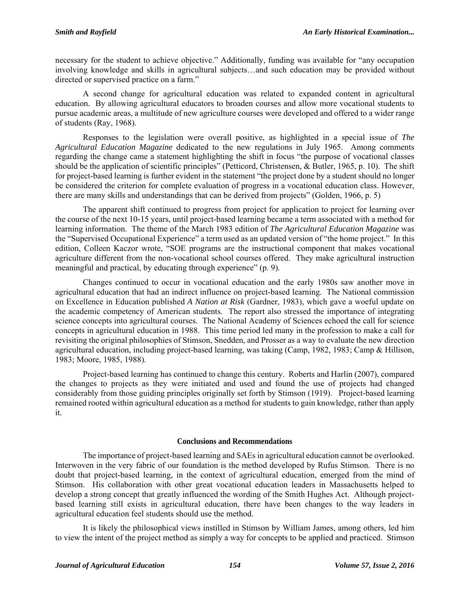necessary for the student to achieve objective." Additionally, funding was available for "any occupation involving knowledge and skills in agricultural subjects…and such education may be provided without directed or supervised practice on a farm."

A second change for agricultural education was related to expanded content in agricultural education. By allowing agricultural educators to broaden courses and allow more vocational students to pursue academic areas, a multitude of new agriculture courses were developed and offered to a wider range of students (Ray, 1968).

Responses to the legislation were overall positive, as highlighted in a special issue of *The Agricultural Education Magazine* dedicated to the new regulations in July 1965. Among comments regarding the change came a statement highlighting the shift in focus "the purpose of vocational classes should be the application of scientific principles" (Petticord, Christensen, & Butler, 1965, p. 10). The shift for project-based learning is further evident in the statement "the project done by a student should no longer be considered the criterion for complete evaluation of progress in a vocational education class. However, there are many skills and understandings that can be derived from projects" (Golden, 1966, p. 5)

The apparent shift continued to progress from project for application to project for learning over the course of the next 10-15 years, until project-based learning became a term associated with a method for learning information. The theme of the March 1983 edition of *The Agricultural Education Magazine* was the "Supervised Occupational Experience" a term used as an updated version of "the home project." In this edition, Colleen Kaczor wrote, "SOE programs are the instructional component that makes vocational agriculture different from the non-vocational school courses offered. They make agricultural instruction meaningful and practical, by educating through experience" (p. 9).

Changes continued to occur in vocational education and the early 1980s saw another move in agricultural education that had an indirect influence on project-based learning. The National commission on Excellence in Education published *A Nation at Risk* (Gardner, 1983), which gave a woeful update on the academic competency of American students. The report also stressed the importance of integrating science concepts into agricultural courses. The National Academy of Sciences echoed the call for science concepts in agricultural education in 1988. This time period led many in the profession to make a call for revisiting the original philosophies of Stimson, Snedden, and Prosser as a way to evaluate the new direction agricultural education, including project-based learning, was taking (Camp, 1982, 1983; Camp & Hillison, 1983; Moore, 1985, 1988).

Project-based learning has continued to change this century. Roberts and Harlin (2007), compared the changes to projects as they were initiated and used and found the use of projects had changed considerably from those guiding principles originally set forth by Stimson (1919). Project-based learning remained rooted within agricultural education as a method for students to gain knowledge, rather than apply it.

#### **Conclusions and Recommendations**

The importance of project-based learning and SAEs in agricultural education cannot be overlooked. Interwoven in the very fabric of our foundation is the method developed by Rufus Stimson. There is no doubt that project-based learning, in the context of agricultural education, emerged from the mind of Stimson. His collaboration with other great vocational education leaders in Massachusetts helped to develop a strong concept that greatly influenced the wording of the Smith Hughes Act. Although projectbased learning still exists in agricultural education, there have been changes to the way leaders in agricultural education feel students should use the method.

It is likely the philosophical views instilled in Stimson by William James, among others, led him to view the intent of the project method as simply a way for concepts to be applied and practiced. Stimson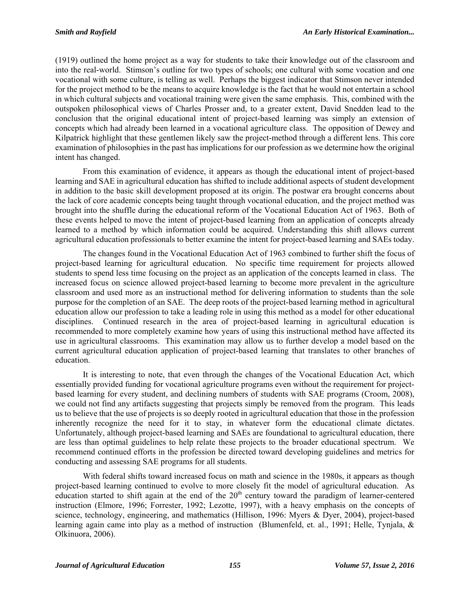(1919) outlined the home project as a way for students to take their knowledge out of the classroom and into the real-world. Stimson's outline for two types of schools; one cultural with some vocation and one vocational with some culture, is telling as well. Perhaps the biggest indicator that Stimson never intended for the project method to be the means to acquire knowledge is the fact that he would not entertain a school in which cultural subjects and vocational training were given the same emphasis. This, combined with the outspoken philosophical views of Charles Prosser and, to a greater extent, David Snedden lead to the conclusion that the original educational intent of project-based learning was simply an extension of concepts which had already been learned in a vocational agriculture class. The opposition of Dewey and Kilpatrick highlight that these gentlemen likely saw the project-method through a different lens. This core examination of philosophies in the past has implications for our profession as we determine how the original intent has changed.

From this examination of evidence, it appears as though the educational intent of project-based learning and SAE in agricultural education has shifted to include additional aspects of student development in addition to the basic skill development proposed at its origin. The postwar era brought concerns about the lack of core academic concepts being taught through vocational education, and the project method was brought into the shuffle during the educational reform of the Vocational Education Act of 1963. Both of these events helped to move the intent of project-based learning from an application of concepts already learned to a method by which information could be acquired. Understanding this shift allows current agricultural education professionals to better examine the intent for project-based learning and SAEs today.

The changes found in the Vocational Education Act of 1963 combined to further shift the focus of project-based learning for agricultural education. No specific time requirement for projects allowed students to spend less time focusing on the project as an application of the concepts learned in class. The increased focus on science allowed project-based learning to become more prevalent in the agriculture classroom and used more as an instructional method for delivering information to students than the sole purpose for the completion of an SAE. The deep roots of the project-based learning method in agricultural education allow our profession to take a leading role in using this method as a model for other educational disciplines. Continued research in the area of project-based learning in agricultural education is recommended to more completely examine how years of using this instructional method have affected its use in agricultural classrooms. This examination may allow us to further develop a model based on the current agricultural education application of project-based learning that translates to other branches of education.

It is interesting to note, that even through the changes of the Vocational Education Act, which essentially provided funding for vocational agriculture programs even without the requirement for projectbased learning for every student, and declining numbers of students with SAE programs (Croom, 2008), we could not find any artifacts suggesting that projects simply be removed from the program. This leads us to believe that the use of projects is so deeply rooted in agricultural education that those in the profession inherently recognize the need for it to stay, in whatever form the educational climate dictates. Unfortunately, although project-based learning and SAEs are foundational to agricultural education, there are less than optimal guidelines to help relate these projects to the broader educational spectrum. We recommend continued efforts in the profession be directed toward developing guidelines and metrics for conducting and assessing SAE programs for all students.

With federal shifts toward increased focus on math and science in the 1980s, it appears as though project-based learning continued to evolve to more closely fit the model of agricultural education. As education started to shift again at the end of the  $20<sup>th</sup>$  century toward the paradigm of learner-centered instruction (Elmore, 1996; Forrester, 1992; Lezotte, 1997), with a heavy emphasis on the concepts of science, technology, engineering, and mathematics (Hillison, 1996: Myers & Dyer, 2004), project-based learning again came into play as a method of instruction (Blumenfeld, et. al., 1991; Helle, Tynjala, & Olkinuora, 2006).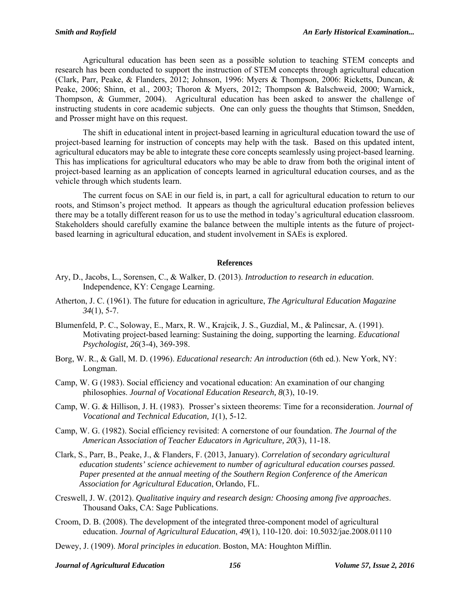Agricultural education has been seen as a possible solution to teaching STEM concepts and research has been conducted to support the instruction of STEM concepts through agricultural education (Clark, Parr, Peake, & Flanders, 2012; Johnson, 1996: Myers & Thompson, 2006: Ricketts, Duncan, & Peake, 2006; Shinn, et al., 2003; Thoron & Myers, 2012; Thompson & Balschweid, 2000; Warnick, Thompson, & Gummer, 2004). Agricultural education has been asked to answer the challenge of instructing students in core academic subjects. One can only guess the thoughts that Stimson, Snedden, and Prosser might have on this request.

The shift in educational intent in project-based learning in agricultural education toward the use of project-based learning for instruction of concepts may help with the task. Based on this updated intent, agricultural educators may be able to integrate these core concepts seamlessly using project-based learning. This has implications for agricultural educators who may be able to draw from both the original intent of project-based learning as an application of concepts learned in agricultural education courses, and as the vehicle through which students learn.

The current focus on SAE in our field is, in part, a call for agricultural education to return to our roots, and Stimson's project method. It appears as though the agricultural education profession believes there may be a totally different reason for us to use the method in today's agricultural education classroom. Stakeholders should carefully examine the balance between the multiple intents as the future of projectbased learning in agricultural education, and student involvement in SAEs is explored.

#### **References**

- Ary, D., Jacobs, L., Sorensen, C., & Walker, D. (2013). *Introduction to research in education*. Independence, KY: Cengage Learning.
- Atherton, J. C. (1961). The future for education in agriculture, *The Agricultural Education Magazine 34*(1), 5-7.
- Blumenfeld, P. C., Soloway, E., Marx, R. W., Krajcik, J. S., Guzdial, M., & Palincsar, A. (1991). Motivating project-based learning: Sustaining the doing, supporting the learning. *Educational Psychologist, 26*(3-4), 369-398.
- Borg, W. R., & Gall, M. D. (1996). *Educational research: An introduction* (6th ed.). New York, NY: Longman.
- Camp, W. G (1983). Social efficiency and vocational education: An examination of our changing philosophies. *Journal of Vocational Education Research, 8*(3), 10-19.
- Camp, W. G. & Hillison, J. H. (1983). Prosser's sixteen theorems: Time for a reconsideration. *Journal of Vocational and Technical Education, 1*(1), 5-12.
- Camp, W. G. (1982). Social efficiency revisited: A cornerstone of our foundation. *The Journal of the American Association of Teacher Educators in Agriculture, 20*(3), 11-18.
- Clark, S., Parr, B., Peake, J., & Flanders, F. (2013, January). *Correlation of secondary agricultural education students' science achievement to number of agricultural education courses passed. Paper presented at the annual meeting of the Southern Region Conference of the American Association for Agricultural Education*, Orlando, FL.
- Creswell, J. W. (2012). *Qualitative inquiry and research design: Choosing among five approaches*. Thousand Oaks, CA: Sage Publications.
- Croom, D. B. (2008). The development of the integrated three-component model of agricultural education. *Journal of Agricultural Education*, *49*(1), 110-120. doi: 10.5032/jae.2008.01110
- Dewey, J. (1909). *Moral principles in education*. Boston, MA: Houghton Mifflin.

*Journal of Agricultural Education 156 Volume 57, Issue 2, 2016*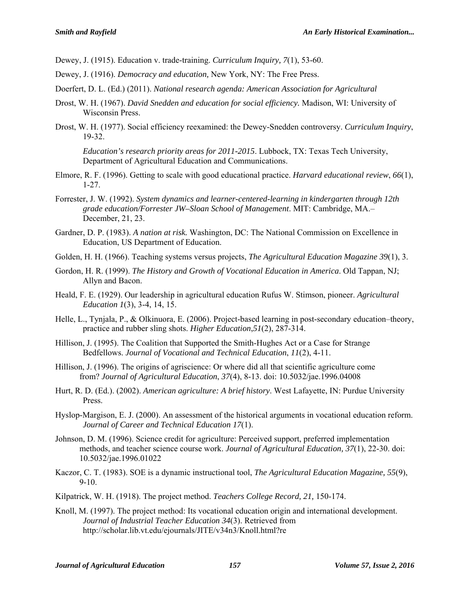Dewey, J. (1915). Education v. trade-training. *Curriculum Inquiry, 7*(1), 53-60.

- Dewey, J. (1916). *Democracy and education,* New York, NY: The Free Press.
- Doerfert, D. L. (Ed.) (2011). *National research agenda: American Association for Agricultural*
- Drost, W. H. (1967). *David Snedden and education for social efficiency.* Madison, WI: University of Wisconsin Press.
- Drost, W. H. (1977). Social efficiency reexamined: the Dewey-Snedden controversy. *Curriculum Inquiry*, 19-32.

*Education's research priority areas for 2011-2015*. Lubbock, TX: Texas Tech University, Department of Agricultural Education and Communications.

- Elmore, R. F. (1996). Getting to scale with good educational practice. *Harvard educational review*, *66*(1), 1-27.
- Forrester, J. W. (1992). *System dynamics and learner-centered-learning in kindergarten through 12th grade education/Forrester JW–Sloan School of Management*. MIT: Cambridge, MA.– December, 21, 23.
- Gardner, D. P. (1983). *A nation at risk.* Washington, DC: The National Commission on Excellence in Education, US Department of Education.
- Golden, H. H. (1966). Teaching systems versus projects, *The Agricultural Education Magazine 39*(1), 3.
- Gordon, H. R. (1999). *The History and Growth of Vocational Education in America*. Old Tappan, NJ; Allyn and Bacon.
- Heald, F. E. (1929). Our leadership in agricultural education Rufus W. Stimson, pioneer. *Agricultural Education 1*(3), 3-4, 14, 15.
- Helle, L., Tynjala, P., & Olkinuora, E. (2006). Project-based learning in post-secondary education–theory, practice and rubber sling shots. *Higher Education*,*51*(2), 287-314.
- Hillison, J. (1995). The Coalition that Supported the Smith-Hughes Act or a Case for Strange Bedfellows. *Journal of Vocational and Technical Education*, *11*(2), 4-11.
- Hillison, J. (1996). The origins of agriscience: Or where did all that scientific agriculture come from? *Journal of Agricultural Education*, *37*(4), 8-13. doi: 10.5032/jae.1996.04008
- Hurt, R. D. (Ed.). (2002). *American agriculture: A brief history*. West Lafayette, IN: Purdue University Press.
- Hyslop-Margison, E. J. (2000). An assessment of the historical arguments in vocational education reform. *Journal of Career and Technical Education 17*(1).
- Johnson, D. M. (1996). Science credit for agriculture: Perceived support, preferred implementation methods, and teacher science course work. *Journal of Agricultural Education, 37*(1), 22-30. doi: 10.5032/jae.1996.01022
- Kaczor, C. T. (1983). SOE is a dynamic instructional tool, *The Agricultural Education Magazine, 55*(9), 9-10.
- Kilpatrick, W. H. (1918). The project method. *Teachers College Record, 21,* 150-174.
- Knoll, M. (1997). The project method: Its vocational education origin and international development. *Journal of Industrial Teacher Education 34*(3). Retrieved from http://scholar.lib.vt.edu/ejournals/JITE/v34n3/Knoll.html?re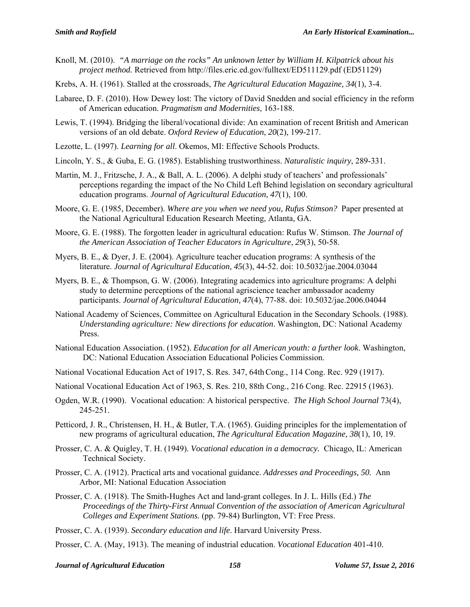- Knoll, M. (2010). *"A marriage on the rocks" An unknown letter by William H. Kilpatrick about his project method.* Retrieved from http://files.eric.ed.gov/fulltext/ED511129.pdf (ED51129)
- Krebs, A. H. (1961). Stalled at the crossroads, *The Agricultural Education Magazine, 34*(1), 3-4.
- Labaree, D. F. (2010). How Dewey lost: The victory of David Snedden and social efficiency in the reform of American education. *Pragmatism and Modernities*, 163-188.
- Lewis, T. (1994). Bridging the liberal/vocational divide: An examination of recent British and American versions of an old debate. *Oxford Review of Education*, *20*(2), 199-217.
- Lezotte, L. (1997). *Learning for all*. Okemos, MI: Effective Schools Products.
- Lincoln, Y. S., & Guba, E. G. (1985). Establishing trustworthiness. *Naturalistic inquiry*, 289-331.
- Martin, M. J., Fritzsche, J. A., & Ball, A. L. (2006). A delphi study of teachers' and professionals' perceptions regarding the impact of the No Child Left Behind legislation on secondary agricultural education programs. *Journal of Agricultural Education*, *47*(1), 100.
- Moore, G. E. (1985, December). *Where are you when we need you, Rufus Stimson?* Paper presented at the National Agricultural Education Research Meeting, Atlanta, GA.
- Moore, G. E. (1988). The forgotten leader in agricultural education: Rufus W. Stimson. *The Journal of the American Association of Teacher Educators in Agriculture*, *29*(3), 50-58.
- Myers, B. E., & Dyer, J. E. (2004). Agriculture teacher education programs: A synthesis of the literature. *Journal of Agricultural Education*, *45*(3), 44-52. doi: 10.5032/jae.2004.03044
- Myers, B. E., & Thompson, G. W. (2006). Integrating academics into agriculture programs: A delphi study to determine perceptions of the national agriscience teacher ambassador academy participants. *Journal of Agricultural Education, 47*(4), 77-88. doi: 10.5032/jae.2006.04044
- National Academy of Sciences, Committee on Agricultural Education in the Secondary Schools. (1988). *Understanding agriculture: New directions for education*. Washington, DC: National Academy Press.
- National Education Association. (1952). *Education for all American youth: a further look*. Washington, DC: National Education Association Educational Policies Commission.
- National Vocational Education Act of 1917, S. Res. 347, 64th Cong., 114 Cong. Rec. 929 (1917).
- National Vocational Education Act of 1963, S. Res. 210, 88th Cong., 216 Cong. Rec. 22915 (1963).
- Ogden, W.R. (1990). Vocational education: A historical perspective. *The High School Journal* 73(4), 245-251.
- Petticord, J. R., Christensen, H. H., & Butler, T.A. (1965). Guiding principles for the implementation of new programs of agricultural education, *The Agricultural Education Magazine, 38*(1), 10, 19.
- Prosser, C. A. & Quigley, T. H. (1949). *Vocational education in a democracy.* Chicago, IL: American Technical Society.
- Prosser, C. A. (1912). Practical arts and vocational guidance. *Addresses and Proceedings, 50.* Ann Arbor, MI: National Education Association
- Prosser, C. A. (1918). The Smith-Hughes Act and land-grant colleges. In J. L. Hills (Ed.) *The Proceedings of the Thirty-First Annual Convention of the association of American Agricultural Colleges and Experiment Stations.* (pp. 79-84) Burlington, VT: Free Press.
- Prosser, C. A. (1939). *Secondary education and life*. Harvard University Press.
- Prosser, C. A. (May, 1913). The meaning of industrial education. *Vocational Education* 401-410.

*Journal of Agricultural Education 158 Volume 57, Issue 2, 2016*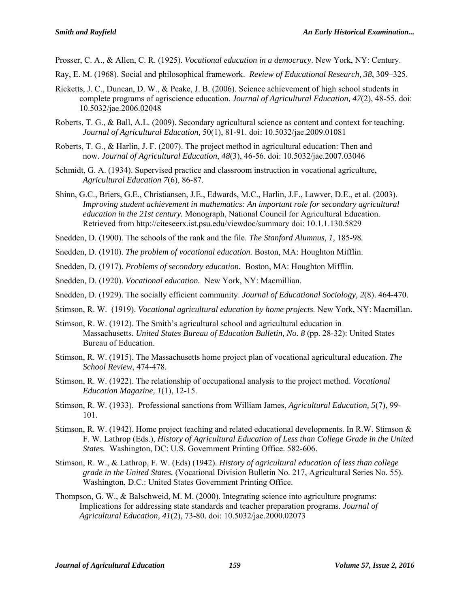Prosser, C. A., & Allen, C. R. (1925). *Vocational education in a democracy*. New York, NY: Century.

- Ray, E. M. (1968). Social and philosophical framework. *Review of Educational Research, 38*, 309–325.
- Ricketts, J. C., Duncan, D. W., & Peake, J. B. (2006). Science achievement of high school students in complete programs of agriscience education*. Journal of Agricultural Education, 47*(2), 48-55. doi: 10.5032/jae.2006.02048
- Roberts, T. G., & Ball, A.L. (2009). Secondary agricultural science as content and context for teaching. *Journal of Agricultural Education,* 50(1), 81-91. doi: 10.5032/jae.2009.01081
- Roberts, T. G., & Harlin, J. F. (2007). The project method in agricultural education: Then and now. *Journal of Agricultural Education*, *48*(3), 46-56. doi: 10.5032/jae.2007.03046
- Schmidt, G. A. (1934). Supervised practice and classroom instruction in vocational agriculture, *Agricultural Education 7*(6), 86-87.
- Shinn, G.C., Briers, G.E., Christiansen, J.E., Edwards, M.C., Harlin, J.F., Lawver, D.E., et al. (2003). *Improving student achievement in mathematics: An important role for secondary agricultural education in the 21st century.* Monograph, National Council for Agricultural Education. Retrieved from http://citeseerx.ist.psu.edu/viewdoc/summary doi: 10.1.1.130.5829
- Snedden, D. (1900). The schools of the rank and the file. *The Stanford Alumnus, 1,* 185-98*.*
- Snedden, D. (1910). *The problem of vocational education.* Boston, MA: Houghton Mifflin.
- Snedden, D. (1917). *Problems of secondary education.* Boston, MA: Houghton Mifflin.
- Snedden, D. (1920). *Vocational education.* New York, NY: Macmillian.
- Snedden, D. (1929). The socially efficient community. *Journal of Educational Sociology, 2*(8). 464-470.
- Stimson, R. W. (1919). *Vocational agricultural education by home projects*. New York, NY: Macmillan.
- Stimson, R. W. (1912). The Smith's agricultural school and agricultural education in Massachusetts. *United States Bureau of Education Bulletin, No. 8* (pp. 28-32): United States Bureau of Education.
- Stimson, R. W. (1915). The Massachusetts home project plan of vocational agricultural education. *The School Review*, 474-478.
- Stimson, R. W. (1922). The relationship of occupational analysis to the project method. *Vocational Education Magazine, 1*(1), 12-15.
- Stimson, R. W. (1933). Professional sanctions from William James, *Agricultural Education, 5*(7), 99- 101.
- Stimson, R. W. (1942). Home project teaching and related educational developments. In R.W. Stimson & F. W. Lathrop (Eds.), *History of Agricultural Education of Less than College Grade in the United States.* Washington, DC: U.S. Government Printing Office. 582-606.
- Stimson, R. W., & Lathrop, F. W. (Eds) (1942). *History of agricultural education of less than college grade in the United States.* (Vocational Division Bulletin No. 217, Agricultural Series No. 55). Washington, D.C.: United States Government Printing Office.
- Thompson, G. W., & Balschweid, M. M. (2000). Integrating science into agriculture programs: Implications for addressing state standards and teacher preparation programs. *Journal of Agricultural Education, 41*(2), 73-80. doi: 10.5032/jae.2000.02073